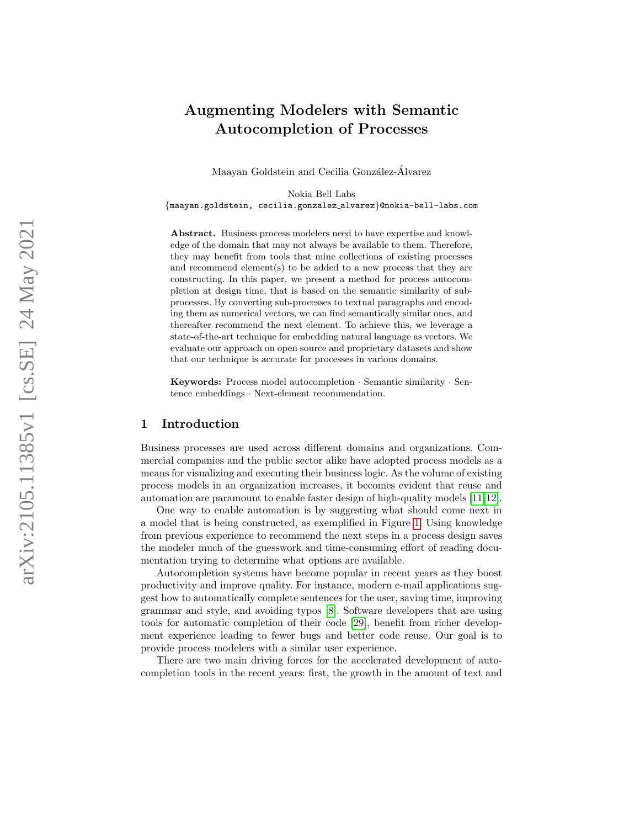# Augmenting Modelers with Semantic Autocompletion of Processes

Maayan Goldstein and Cecilia González-Álvarez

Nokia Bell Labs {maayan.goldstein, cecilia.gonzalez alvarez }@nokia-bell-labs.com

Abstract. Business process modelers need to have expertise and knowledge of the domain that may not always be available to them. Therefore, they may benefit from tools that mine collections of existing processes and recommend element(s) to be added to a new process that they are constructing. In this paper, we present a method for process autocompletion at design time, that is based on the semantic similarity of subprocesses. By converting sub-processes to textual paragraphs and encoding them as numerical vectors, we can find semantically similar ones, and thereafter recommend the next element. To achieve this, we leverage a state-of-the-art technique for embedding natural language as vectors. We evaluate our approach on open source and proprietary datasets and show that our technique is accurate for processes in various domains.

Keywords: Process model autocompletion · Semantic similarity · Sentence embeddings · Next-element recommendation.

# 1 Introduction

Business processes are used across different domains and organizations. Commercial companies and the public sector alike have adopted process models as a means for visualizing and executing their business logic. As the volume of existing process models in an organization increases, it becomes evident that reuse and automation are paramount to enable faster design of high-quality models [\[11,](#page-14-0)[12\]](#page-14-1).

One way to enable automation is by suggesting what should come next in a model that is being constructed, as exemplified in Figure [1.](#page-1-0) Using knowledge from previous experience to recommend the next steps in a process design saves the modeler much of the guesswork and time-consuming effort of reading documentation trying to determine what options are available.

Autocompletion systems have become popular in recent years as they boost productivity and improve quality. For instance, modern e-mail applications suggest how to automatically complete sentences for the user, saving time, improving grammar and style, and avoiding typos [\[8\]](#page-14-2). Software developers that are using tools for automatic completion of their code [\[29\]](#page-15-0), benefit from richer development experience leading to fewer bugs and better code reuse. Our goal is to provide process modelers with a similar user experience.

There are two main driving forces for the accelerated development of autocompletion tools in the recent years: first, the growth in the amount of text and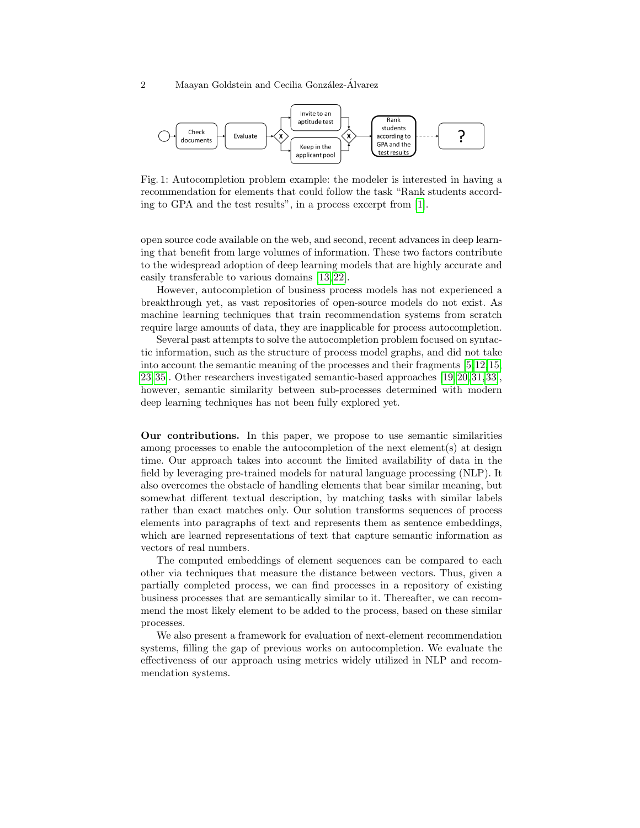<span id="page-1-0"></span>

Fig. 1: Autocompletion problem example: the modeler is interested in having a recommendation for elements that could follow the task "Rank students according to GPA and the test results", in a process excerpt from [\[1\]](#page-14-3).

open source code available on the web, and second, recent advances in deep learning that benefit from large volumes of information. These two factors contribute to the widespread adoption of deep learning models that are highly accurate and easily transferable to various domains [\[13,](#page-14-4) [22\]](#page-15-1).

However, autocompletion of business process models has not experienced a breakthrough yet, as vast repositories of open-source models do not exist. As machine learning techniques that train recommendation systems from scratch require large amounts of data, they are inapplicable for process autocompletion.

Several past attempts to solve the autocompletion problem focused on syntactic information, such as the structure of process model graphs, and did not take into account the semantic meaning of the processes and their fragments [\[5,](#page-14-5)[12,](#page-14-1)[15,](#page-15-2) [23,](#page-15-3) [35\]](#page-16-0). Other researchers investigated semantic-based approaches [\[19,](#page-15-4) [20,](#page-15-5) [31,](#page-15-6) [33\]](#page-15-7), however, semantic similarity between sub-processes determined with modern deep learning techniques has not been fully explored yet.

Our contributions. In this paper, we propose to use semantic similarities among processes to enable the autocompletion of the next element(s) at design time. Our approach takes into account the limited availability of data in the field by leveraging pre-trained models for natural language processing (NLP). It also overcomes the obstacle of handling elements that bear similar meaning, but somewhat different textual description, by matching tasks with similar labels rather than exact matches only. Our solution transforms sequences of process elements into paragraphs of text and represents them as sentence embeddings, which are learned representations of text that capture semantic information as vectors of real numbers.

The computed embeddings of element sequences can be compared to each other via techniques that measure the distance between vectors. Thus, given a partially completed process, we can find processes in a repository of existing business processes that are semantically similar to it. Thereafter, we can recommend the most likely element to be added to the process, based on these similar processes.

We also present a framework for evaluation of next-element recommendation systems, filling the gap of previous works on autocompletion. We evaluate the effectiveness of our approach using metrics widely utilized in NLP and recommendation systems.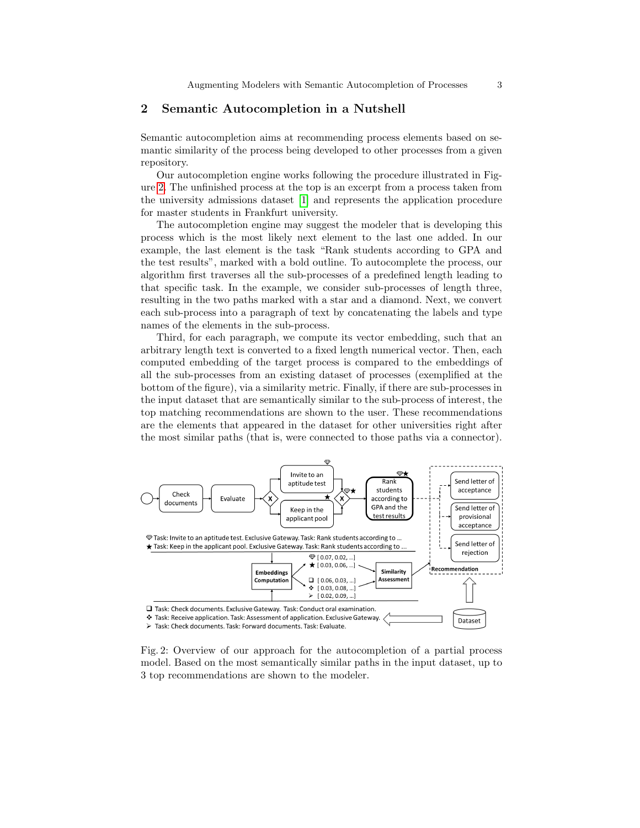# 2 Semantic Autocompletion in a Nutshell

Semantic autocompletion aims at recommending process elements based on semantic similarity of the process being developed to other processes from a given repository.

Our autocompletion engine works following the procedure illustrated in Figure [2.](#page-2-0) The unfinished process at the top is an excerpt from a process taken from the university admissions dataset [\[1\]](#page-14-3) and represents the application procedure for master students in Frankfurt university.

The autocompletion engine may suggest the modeler that is developing this process which is the most likely next element to the last one added. In our example, the last element is the task "Rank students according to GPA and the test results", marked with a bold outline. To autocomplete the process, our algorithm first traverses all the sub-processes of a predefined length leading to that specific task. In the example, we consider sub-processes of length three, resulting in the two paths marked with a star and a diamond. Next, we convert each sub-process into a paragraph of text by concatenating the labels and type names of the elements in the sub-process.

Third, for each paragraph, we compute its vector embedding, such that an arbitrary length text is converted to a fixed length numerical vector. Then, each computed embedding of the target process is compared to the embeddings of all the sub-processes from an existing dataset of processes (exemplified at the bottom of the figure), via a similarity metric. Finally, if there are sub-processes in the input dataset that are semantically similar to the sub-process of interest, the top matching recommendations are shown to the user. These recommendations are the elements that appeared in the dataset for other universities right after the most similar paths (that is, were connected to those paths via a connector).

<span id="page-2-0"></span>

Fig. 2: Overview of our approach for the autocompletion of a partial process model. Based on the most semantically similar paths in the input dataset, up to 3 top recommendations are shown to the modeler.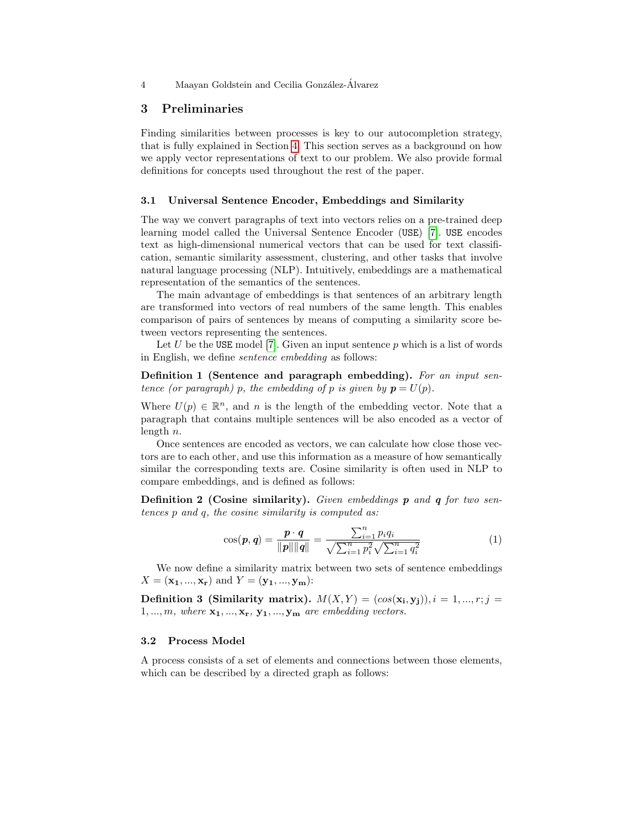# 3 Preliminaries

Finding similarities between processes is key to our autocompletion strategy, that is fully explained in Section [4.](#page-5-0) This section serves as a background on how we apply vector representations of text to our problem. We also provide formal definitions for concepts used throughout the rest of the paper.

#### 3.1 Universal Sentence Encoder, Embeddings and Similarity

The way we convert paragraphs of text into vectors relies on a pre-trained deep learning model called the Universal Sentence Encoder (USE) [\[7\]](#page-14-6). USE encodes text as high-dimensional numerical vectors that can be used for text classification, semantic similarity assessment, clustering, and other tasks that involve natural language processing (NLP). Intuitively, embeddings are a mathematical representation of the semantics of the sentences.

The main advantage of embeddings is that sentences of an arbitrary length are transformed into vectors of real numbers of the same length. This enables comparison of pairs of sentences by means of computing a similarity score between vectors representing the sentences.

Let U be the USE model [\[7\]](#page-14-6). Given an input sentence  $p$  which is a list of words in English, we define sentence embedding as follows:

<span id="page-3-0"></span>Definition 1 (Sentence and paragraph embedding). For an input sentence (or paragraph) p, the embedding of p is given by  $p = U(p)$ .

Where  $U(p) \in \mathbb{R}^n$ , and n is the length of the embedding vector. Note that a paragraph that contains multiple sentences will be also encoded as a vector of length n.

Once sentences are encoded as vectors, we can calculate how close those vectors are to each other, and use this information as a measure of how semantically similar the corresponding texts are. Cosine similarity is often used in NLP to compare embeddings, and is defined as follows:

<span id="page-3-2"></span>**Definition 2 (Cosine similarity).** Given embeddings  $p$  and  $q$  for two sentences p and q, the cosine similarity is computed as:

<span id="page-3-1"></span>
$$
\cos(\mathbf{p}, \mathbf{q}) = \frac{\mathbf{p} \cdot \mathbf{q}}{\|\mathbf{p}\| \|\mathbf{q}\|} = \frac{\sum_{i=1}^{n} p_i q_i}{\sqrt{\sum_{i=1}^{n} p_i^2} \sqrt{\sum_{i=1}^{n} q_i^2}} \tag{1}
$$

We now define a similarity matrix between two sets of sentence embeddings  $X = (\mathbf{x_1}, ..., \mathbf{x_r})$  and  $Y = (\mathbf{y_1}, ..., \mathbf{y_m})$ :

**Definition 3 (Similarity matrix).**  $M(X,Y) = (cos(\mathbf{x_i}, \mathbf{y_j})), i = 1, ..., r; j = 1$  $1, ..., m$ , where  $\mathbf{x_1}, ..., \mathbf{x_r}, \mathbf{y_1}, ..., \mathbf{y_m}$  are embedding vectors.

#### 3.2 Process Model

A process consists of a set of elements and connections between those elements, which can be described by a directed graph as follows: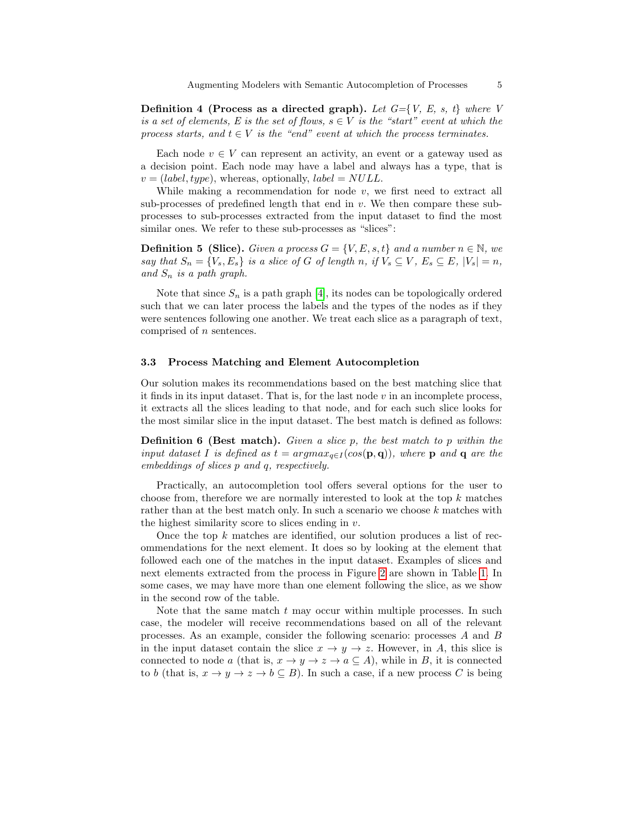**Definition 4 (Process as a directed graph).** Let  $G = \{V, E, s, t\}$  where V is a set of elements, E is the set of flows,  $s \in V$  is the "start" event at which the process starts, and  $t \in V$  is the "end" event at which the process terminates.

Each node  $v \in V$  can represent an activity, an event or a gateway used as a decision point. Each node may have a label and always has a type, that is  $v = (label, type)$ , whereas, optionally,  $label = NULL$ .

While making a recommendation for node  $v$ , we first need to extract all sub-processes of predefined length that end in  $v$ . We then compare these subprocesses to sub-processes extracted from the input dataset to find the most similar ones. We refer to these sub-processes as "slices":

<span id="page-4-0"></span>**Definition 5 (Slice).** Given a process  $G = \{V, E, s, t\}$  and a number  $n \in \mathbb{N}$ , we say that  $S_n = \{V_s, E_s\}$  is a slice of G of length n, if  $V_s \subseteq V$ ,  $E_s \subseteq E$ ,  $|V_s| = n$ , and  $S_n$  is a path graph.

Note that since  $S_n$  is a path graph [\[4\]](#page-14-7), its nodes can be topologically ordered such that we can later process the labels and the types of the nodes as if they were sentences following one another. We treat each slice as a paragraph of text, comprised of n sentences.

#### 3.3 Process Matching and Element Autocompletion

Our solution makes its recommendations based on the best matching slice that it finds in its input dataset. That is, for the last node  $v$  in an incomplete process, it extracts all the slices leading to that node, and for each such slice looks for the most similar slice in the input dataset. The best match is defined as follows:

**Definition 6 (Best match).** Given a slice p, the best match to p within the input dataset I is defined as  $t = argmax_{q \in I}(cos(\mathbf{p}, \mathbf{q}))$ , where **p** and **q** are the embeddings of slices p and q, respectively.

Practically, an autocompletion tool offers several options for the user to choose from, therefore we are normally interested to look at the top  $k$  matches rather than at the best match only. In such a scenario we choose  $k$  matches with the highest similarity score to slices ending in  $v$ .

Once the top  $k$  matches are identified, our solution produces a list of recommendations for the next element. It does so by looking at the element that followed each one of the matches in the input dataset. Examples of slices and next elements extracted from the process in Figure [2](#page-2-0) are shown in Table [1.](#page-5-1) In some cases, we may have more than one element following the slice, as we show in the second row of the table.

Note that the same match  $t$  may occur within multiple processes. In such case, the modeler will receive recommendations based on all of the relevant processes. As an example, consider the following scenario: processes A and B in the input dataset contain the slice  $x \to y \to z$ . However, in A, this slice is connected to node a (that is,  $x \to y \to z \to a \subseteq A$ ), while in B, it is connected to b (that is,  $x \to y \to z \to b \subseteq B$ ). In such a case, if a new process C is being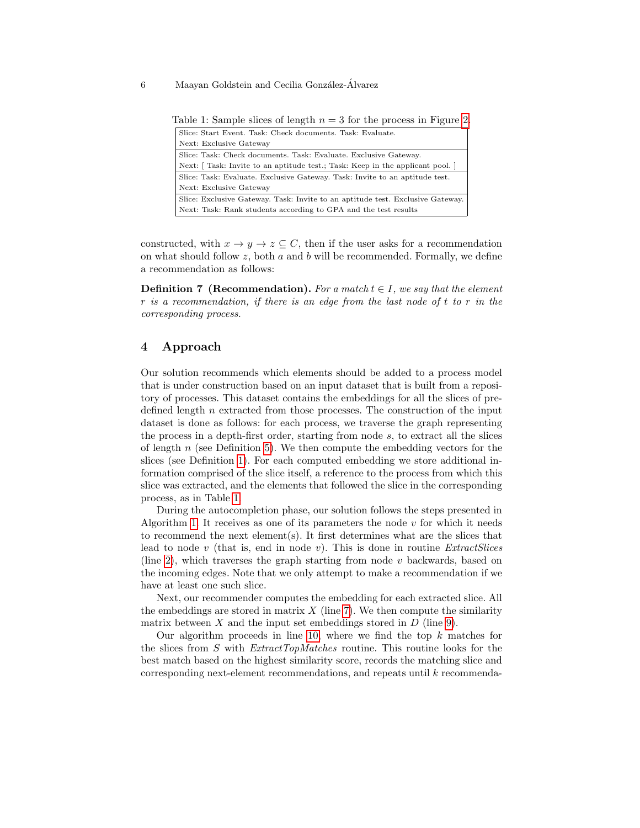<span id="page-5-1"></span>Table 1: Sample slices of length  $n = 3$  for the process in Figure [2.](#page-2-0) Slice: Start Event. Task: Check documents. Task: Evaluate.

| Next: Exclusive Gateway                                                        |
|--------------------------------------------------------------------------------|
| Slice: Task: Check documents. Task: Evaluate. Exclusive Gateway.               |
| Next: Task: Invite to an aptitude test.; Task: Keep in the applicant pool.     |
| Slice: Task: Evaluate. Exclusive Gateway. Task: Invite to an aptitude test.    |
| Next: Exclusive Gateway                                                        |
| Slice: Exclusive Gateway. Task: Invite to an aptitude test. Exclusive Gateway. |
| Next: Task: Rank students according to GPA and the test results                |

constructed, with  $x \to y \to z \subseteq C$ , then if the user asks for a recommendation on what should follow z, both a and b will be recommended. Formally, we define a recommendation as follows:

<span id="page-5-2"></span>**Definition 7** (Recommendation). For a match  $t \in I$ , we say that the element r is a recommendation, if there is an edge from the last node of t to r in the corresponding process.

### <span id="page-5-0"></span>4 Approach

Our solution recommends which elements should be added to a process model that is under construction based on an input dataset that is built from a repository of processes. This dataset contains the embeddings for all the slices of predefined length n extracted from those processes. The construction of the input dataset is done as follows: for each process, we traverse the graph representing the process in a depth-first order, starting from node s, to extract all the slices of length  $n$  (see Definition [5\)](#page-4-0). We then compute the embedding vectors for the slices (see Definition [1\)](#page-3-0). For each computed embedding we store additional information comprised of the slice itself, a reference to the process from which this slice was extracted, and the elements that followed the slice in the corresponding process, as in Table [1.](#page-5-1)

During the autocompletion phase, our solution follows the steps presented in Algorithm [1.](#page-6-0) It receives as one of its parameters the node  $v$  for which it needs to recommend the next element(s). It first determines what are the slices that lead to node v (that is, end in node v). This is done in routine *ExtractSlices* (line [2\)](#page-5-0), which traverses the graph starting from node  $v$  backwards, based on the incoming edges. Note that we only attempt to make a recommendation if we have at least one such slice.

Next, our recommender computes the embedding for each extracted slice. All the embeddings are stored in matrix  $X$  (line [7\)](#page-5-0). We then compute the similarity matrix between X and the input set embeddings stored in  $D$  (line [9\)](#page-5-0).

Our algorithm proceeds in line [10,](#page-5-0) where we find the top  $k$  matches for the slices from S with ExtractTopMatches routine. This routine looks for the best match based on the highest similarity score, records the matching slice and corresponding next-element recommendations, and repeats until k recommenda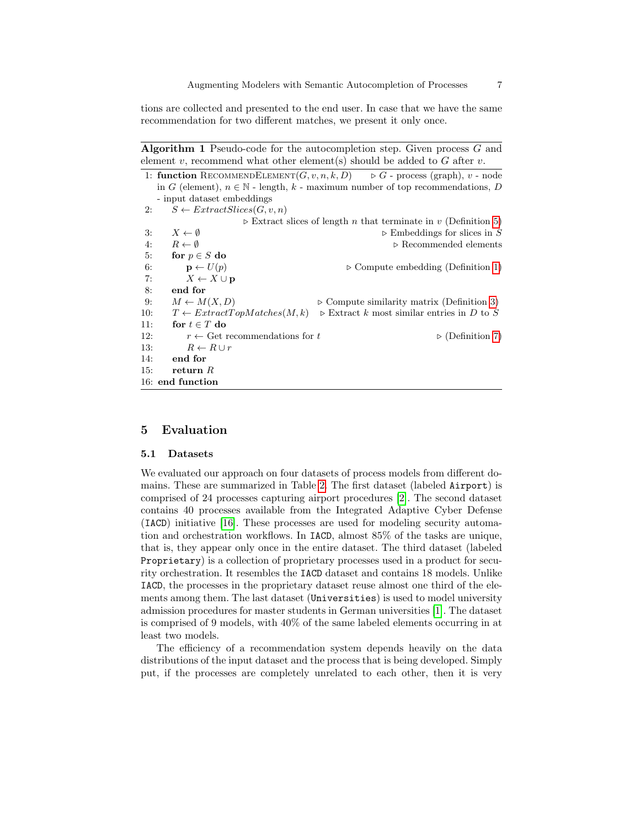tions are collected and presented to the end user. In case that we have the same recommendation for two different matches, we present it only once.

<span id="page-6-0"></span>Algorithm 1 Pseudo-code for the autocompletion step. Given process G and element v, recommend what other element(s) should be added to  $G$  after v.

| 1: function RECOMMENDELEMENT $(G, v, n, k, D) \rightarrow G$ - process (graph), $v$ - node   |
|----------------------------------------------------------------------------------------------|
| in G (element), $n \in \mathbb{N}$ - length, k - maximum number of top recommendations, D    |
|                                                                                              |
|                                                                                              |
| $\triangleright$ Extract slices of length <i>n</i> that terminate in <i>v</i> (Definition 5) |
| $\triangleright$ Embeddings for slices in S                                                  |
| $\triangleright$ Recommended elements                                                        |
|                                                                                              |
| $\triangleright$ Compute embedding (Definition 1)                                            |
|                                                                                              |
|                                                                                              |
| $\triangleright$ Compute similarity matrix (Definition 3)                                    |
| $\triangleright$ Extract k most similar entries in D to S                                    |
|                                                                                              |
| $\triangleright$ (Definition 7)                                                              |
|                                                                                              |
|                                                                                              |
|                                                                                              |
|                                                                                              |
|                                                                                              |

# 5 Evaluation

#### 5.1 Datasets

We evaluated our approach on four datasets of process models from different domains. These are summarized in Table [2.](#page-7-0) The first dataset (labeled Airport) is comprised of 24 processes capturing airport procedures [\[2\]](#page-14-8). The second dataset contains 40 processes available from the Integrated Adaptive Cyber Defense (IACD) initiative [\[16\]](#page-15-8). These processes are used for modeling security automation and orchestration workflows. In IACD, almost 85% of the tasks are unique, that is, they appear only once in the entire dataset. The third dataset (labeled Proprietary) is a collection of proprietary processes used in a product for security orchestration. It resembles the IACD dataset and contains 18 models. Unlike IACD, the processes in the proprietary dataset reuse almost one third of the elements among them. The last dataset (Universities) is used to model university admission procedures for master students in German universities [\[1\]](#page-14-3). The dataset is comprised of 9 models, with 40% of the same labeled elements occurring in at least two models.

The efficiency of a recommendation system depends heavily on the data distributions of the input dataset and the process that is being developed. Simply put, if the processes are completely unrelated to each other, then it is very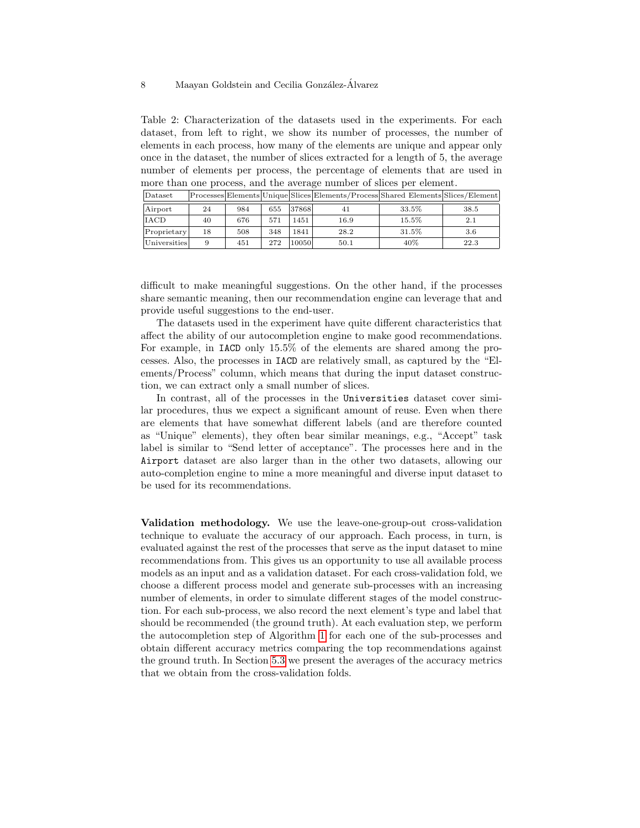<span id="page-7-0"></span>Table 2: Characterization of the datasets used in the experiments. For each dataset, from left to right, we show its number of processes, the number of elements in each process, how many of the elements are unique and appear only once in the dataset, the number of slices extracted for a length of 5, the average number of elements per process, the percentage of elements that are used in more than one process, and the average number of slices per element.

| $\text{Dataset}$ |    |     |     |       | Processes Elements Unique Slices Elements / Process Shared Elements Slices / Element |       |      |
|------------------|----|-----|-----|-------|--------------------------------------------------------------------------------------|-------|------|
| Airport          | 24 | 984 | 655 | 37868 | 41                                                                                   | 33.5% | 38.5 |
| <b>IACD</b>      | 40 | 676 | 571 | 1451  | 16.9                                                                                 | 15.5% | 2.1  |
| Proprietary      | 18 | 508 | 348 | 1841  | 28.2                                                                                 | 31.5% | 3.6  |
| Universities     |    | 451 | 272 | 10050 | 50.1                                                                                 | 40%   | 22.3 |

difficult to make meaningful suggestions. On the other hand, if the processes share semantic meaning, then our recommendation engine can leverage that and provide useful suggestions to the end-user.

The datasets used in the experiment have quite different characteristics that affect the ability of our autocompletion engine to make good recommendations. For example, in IACD only 15.5% of the elements are shared among the processes. Also, the processes in IACD are relatively small, as captured by the "Elements/Process" column, which means that during the input dataset construction, we can extract only a small number of slices.

In contrast, all of the processes in the Universities dataset cover similar procedures, thus we expect a significant amount of reuse. Even when there are elements that have somewhat different labels (and are therefore counted as "Unique" elements), they often bear similar meanings, e.g., "Accept" task label is similar to "Send letter of acceptance". The processes here and in the Airport dataset are also larger than in the other two datasets, allowing our auto-completion engine to mine a more meaningful and diverse input dataset to be used for its recommendations.

Validation methodology. We use the leave-one-group-out cross-validation technique to evaluate the accuracy of our approach. Each process, in turn, is evaluated against the rest of the processes that serve as the input dataset to mine recommendations from. This gives us an opportunity to use all available process models as an input and as a validation dataset. For each cross-validation fold, we choose a different process model and generate sub-processes with an increasing number of elements, in order to simulate different stages of the model construction. For each sub-process, we also record the next element's type and label that should be recommended (the ground truth). At each evaluation step, we perform the autocompletion step of Algorithm [1](#page-6-0) for each one of the sub-processes and obtain different accuracy metrics comparing the top recommendations against the ground truth. In Section [5.3](#page-8-0) we present the averages of the accuracy metrics that we obtain from the cross-validation folds.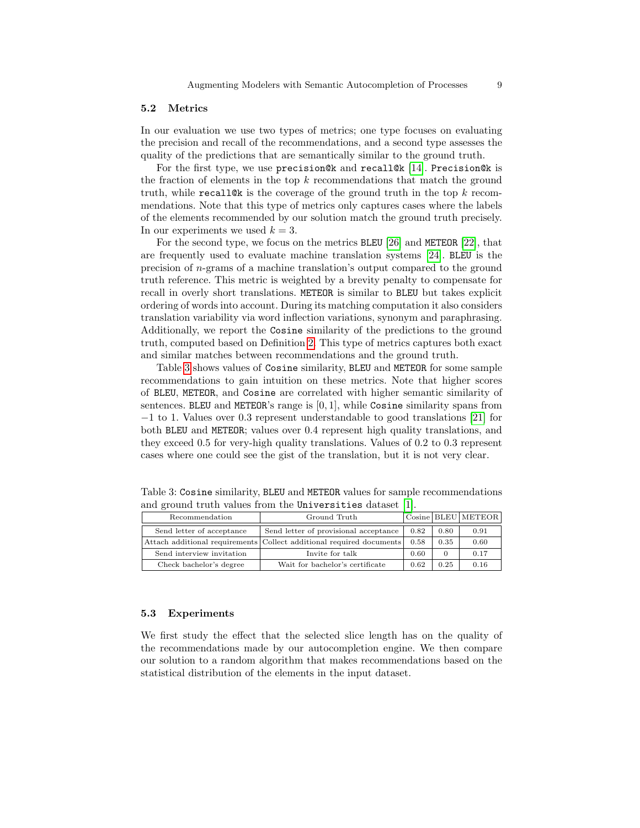#### <span id="page-8-2"></span>5.2 Metrics

In our evaluation we use two types of metrics; one type focuses on evaluating the precision and recall of the recommendations, and a second type assesses the quality of the predictions that are semantically similar to the ground truth.

For the first type, we use precision@k and recall@k [\[14\]](#page-14-9). Precision@k is the fraction of elements in the top  $k$  recommendations that match the ground truth, while recall@k is the coverage of the ground truth in the top  $k$  recommendations. Note that this type of metrics only captures cases where the labels of the elements recommended by our solution match the ground truth precisely. In our experiments we used  $k = 3$ .

For the second type, we focus on the metrics BLEU [\[26\]](#page-15-9) and METEOR [\[22\]](#page-15-1), that are frequently used to evaluate machine translation systems [\[24\]](#page-15-10). BLEU is the precision of n-grams of a machine translation's output compared to the ground truth reference. This metric is weighted by a brevity penalty to compensate for recall in overly short translations. METEOR is similar to BLEU but takes explicit ordering of words into account. During its matching computation it also considers translation variability via word inflection variations, synonym and paraphrasing. Additionally, we report the Cosine similarity of the predictions to the ground truth, computed based on Definition [2.](#page-3-2) This type of metrics captures both exact and similar matches between recommendations and the ground truth.

Table [3](#page-8-1) shows values of Cosine similarity, BLEU and METEOR for some sample recommendations to gain intuition on these metrics. Note that higher scores of BLEU, METEOR, and Cosine are correlated with higher semantic similarity of sentences. BLEU and METEOR's range is  $[0, 1]$ , while Cosine similarity spans from −1 to 1. Values over 0.3 represent understandable to good translations [\[21\]](#page-15-11) for both BLEU and METEOR; values over 0.4 represent high quality translations, and they exceed 0.5 for very-high quality translations. Values of 0.2 to 0.3 represent cases where one could see the gist of the translation, but it is not very clear.

| Recommendation            | Ground Truth                                                         |      |      | Cosine   BLEU   METEOR |
|---------------------------|----------------------------------------------------------------------|------|------|------------------------|
| Send letter of acceptance | Send letter of provisional acceptance                                | 0.82 | 0.80 | 0.91                   |
|                           | Attach additional requirements Collect additional required documents | 0.58 | 0.35 | 0.60                   |
| Send interview invitation | Invite for talk                                                      | 0.60 |      | 0.17                   |
| Check bachelor's degree   | Wait for bachelor's certificate                                      | 0.62 | 0.25 | 0.16                   |

<span id="page-8-1"></span>Table 3: Cosine similarity, BLEU and METEOR values for sample recommendations and ground truth values from the Universities dataset [\[1\]](#page-14-3).

#### <span id="page-8-0"></span>5.3 Experiments

We first study the effect that the selected slice length has on the quality of the recommendations made by our autocompletion engine. We then compare our solution to a random algorithm that makes recommendations based on the statistical distribution of the elements in the input dataset.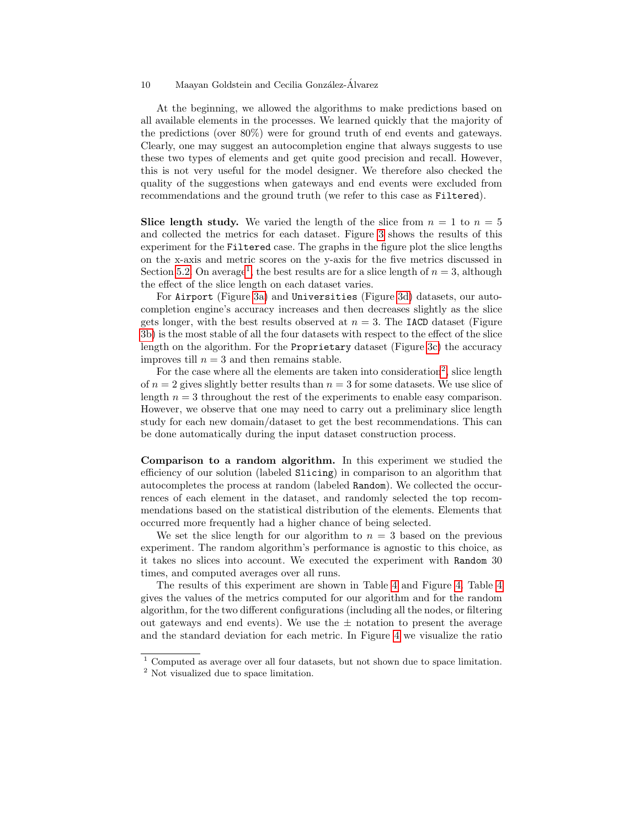At the beginning, we allowed the algorithms to make predictions based on all available elements in the processes. We learned quickly that the majority of the predictions (over 80%) were for ground truth of end events and gateways. Clearly, one may suggest an autocompletion engine that always suggests to use these two types of elements and get quite good precision and recall. However, this is not very useful for the model designer. We therefore also checked the quality of the suggestions when gateways and end events were excluded from recommendations and the ground truth (we refer to this case as Filtered).

Slice length study. We varied the length of the slice from  $n = 1$  to  $n = 5$ and collected the metrics for each dataset. Figure [3](#page-10-0) shows the results of this experiment for the Filtered case. The graphs in the figure plot the slice lengths on the x-axis and metric scores on the y-axis for the five metrics discussed in Section [5.2.](#page-8-2) On average<sup>[1](#page-9-0)</sup>, the best results are for a slice length of  $n = 3$ , although the effect of the slice length on each dataset varies.

For Airport (Figure [3a\)](#page-10-0) and Universities (Figure [3d\)](#page-10-0) datasets, our autocompletion engine's accuracy increases and then decreases slightly as the slice gets longer, with the best results observed at  $n = 3$ . The IACD dataset (Figure [3b\)](#page-10-0) is the most stable of all the four datasets with respect to the effect of the slice length on the algorithm. For the Proprietary dataset (Figure [3c\)](#page-10-0) the accuracy improves till  $n = 3$  and then remains stable.

For the case where all the elements are taken into consideration<sup>[2](#page-9-1)</sup>, slice length of  $n = 2$  gives slightly better results than  $n = 3$  for some datasets. We use slice of length  $n = 3$  throughout the rest of the experiments to enable easy comparison. However, we observe that one may need to carry out a preliminary slice length study for each new domain/dataset to get the best recommendations. This can be done automatically during the input dataset construction process.

Comparison to a random algorithm. In this experiment we studied the efficiency of our solution (labeled Slicing) in comparison to an algorithm that autocompletes the process at random (labeled Random). We collected the occurrences of each element in the dataset, and randomly selected the top recommendations based on the statistical distribution of the elements. Elements that occurred more frequently had a higher chance of being selected.

We set the slice length for our algorithm to  $n = 3$  based on the previous experiment. The random algorithm's performance is agnostic to this choice, as it takes no slices into account. We executed the experiment with Random 30 times, and computed averages over all runs.

The results of this experiment are shown in Table [4](#page-11-0) and Figure [4.](#page-12-0) Table [4](#page-11-0) gives the values of the metrics computed for our algorithm and for the random algorithm, for the two different configurations (including all the nodes, or filtering out gateways and end events). We use the  $\pm$  notation to present the average and the standard deviation for each metric. In Figure [4](#page-12-0) we visualize the ratio

<span id="page-9-1"></span><span id="page-9-0"></span> $1$  Computed as average over all four datasets, but not shown due to space limitation. <sup>2</sup> Not visualized due to space limitation.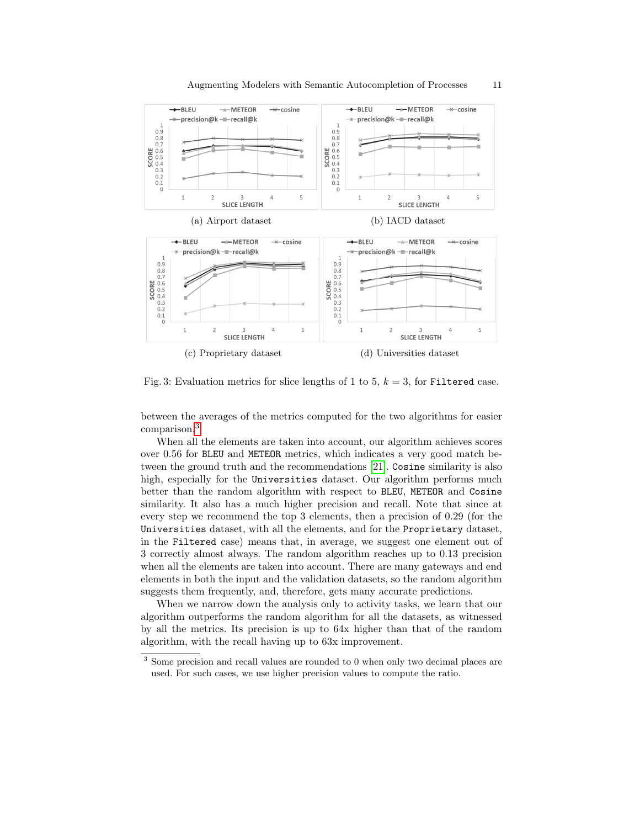<span id="page-10-0"></span>

Augmenting Modelers with Semantic Autocompletion of Processes 11

Fig. 3: Evaluation metrics for slice lengths of 1 to 5,  $k = 3$ , for Filtered case.

between the averages of the metrics computed for the two algorithms for easier comparison.[3](#page-10-1)

When all the elements are taken into account, our algorithm achieves scores over 0.56 for BLEU and METEOR metrics, which indicates a very good match be-tween the ground truth and the recommendations [\[21\]](#page-15-11). Cosine similarity is also high, especially for the Universities dataset. Our algorithm performs much better than the random algorithm with respect to BLEU, METEOR and Cosine similarity. It also has a much higher precision and recall. Note that since at every step we recommend the top 3 elements, then a precision of 0.29 (for the Universities dataset, with all the elements, and for the Proprietary dataset, in the Filtered case) means that, in average, we suggest one element out of 3 correctly almost always. The random algorithm reaches up to 0.13 precision when all the elements are taken into account. There are many gateways and end elements in both the input and the validation datasets, so the random algorithm suggests them frequently, and, therefore, gets many accurate predictions.

When we narrow down the analysis only to activity tasks, we learn that our algorithm outperforms the random algorithm for all the datasets, as witnessed by all the metrics. Its precision is up to 64x higher than that of the random algorithm, with the recall having up to 63x improvement.

<span id="page-10-1"></span><sup>3</sup> Some precision and recall values are rounded to 0 when only two decimal places are used. For such cases, we use higher precision values to compute the ratio.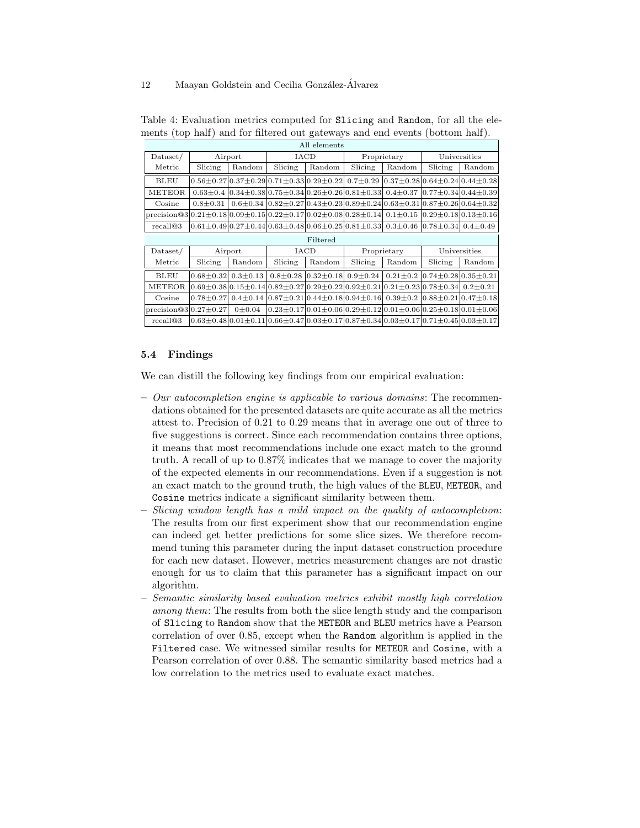<span id="page-11-0"></span>Table 4: Evaluation metrics computed for Slicing and Random, for all the elements (top half) and for filtered out gateways and end events (bottom half).

| All elements                                                                |                 |                |                                                                 |                 |                                                                                 |                |                                                                                                                          |                |  |
|-----------------------------------------------------------------------------|-----------------|----------------|-----------------------------------------------------------------|-----------------|---------------------------------------------------------------------------------|----------------|--------------------------------------------------------------------------------------------------------------------------|----------------|--|
| Dataset/                                                                    |                 | Airport        |                                                                 | IACD            |                                                                                 | Proprietary    |                                                                                                                          | Universities   |  |
| Metric                                                                      | Slicing         | Random         | Slicing                                                         | Random          | Slicing                                                                         | Random         | Slicing                                                                                                                  | Random         |  |
| <b>BLEU</b>                                                                 |                 |                | $0.56 \pm 0.27$ $0.37 \pm 0.29$ $0.71 \pm 0.33$ $0.29 \pm 0.22$ |                 | $0.7 \pm 0.29$                                                                  |                | $0.37 \pm 0.28 \times 0.64 \pm 0.24 \times 0.44 \pm 0.28$                                                                |                |  |
| <b>METEOR</b>                                                               | $0.63 \pm 0.4$  |                |                                                                 |                 | $0.34\pm0.38$ 0.75 $\pm0.34$ 0.26 $\pm0.26$ 0.81 $\pm0.33$                      | $0.4 \pm 0.37$ | $0.77 \pm 0.34$ $0.44 \pm 0.39$                                                                                          |                |  |
| Cosine                                                                      | $0.8 \pm 0.31$  |                |                                                                 |                 |                                                                                 |                | $0.6\pm0.34$ $0.82\pm0.27$ $0.43\pm0.23$ $0.89\pm0.24$ $0.63\pm0.31$ $0.87\pm0.26$ $0.64\pm0.32$                         |                |  |
| precision $@3 0.21\pm0.18 0.09\pm0.15 0.22\pm0.17 0.02\pm0.08 0.28\pm0.14 $ |                 |                |                                                                 |                 |                                                                                 | $0.1 \pm 0.15$ | $[0.29 \pm 0.18] 0.13 \pm 0.16]$                                                                                         |                |  |
| recall@3                                                                    |                 |                |                                                                 |                 | $0.61\pm0.49$ $0.27\pm0.44$ $0.63\pm0.48$ $0.06\pm0.25$ $0.81\pm0.33$           |                | $0.3 \pm 0.46$ $0.78 \pm 0.34$ $0.4 \pm 0.49$                                                                            |                |  |
| Filtered                                                                    |                 |                |                                                                 |                 |                                                                                 |                |                                                                                                                          |                |  |
| $D{\text{at }ast}/$                                                         | Airport         |                | <b>IACD</b>                                                     |                 | Proprietary                                                                     |                | Universities                                                                                                             |                |  |
| Metric                                                                      | Slicing         | Random         | Slicing                                                         | Random          | Slicing                                                                         | Random         | Slicing                                                                                                                  | Random         |  |
| <b>BLEU</b>                                                                 | $0.68 \pm 0.32$ | $0.3 \pm 0.13$ | $0.8 + 0.28$                                                    | $0.32 \pm 0.18$ | $0.9 \pm 0.24$                                                                  | $0.21 \pm 0.2$ | $0.74 \pm 0.28$ $0.35 \pm 0.21$                                                                                          |                |  |
| <b>METEOR</b>                                                               |                 |                |                                                                 |                 | $0.69 \pm 0.38$ $0.15 \pm 0.14$ $0.82 \pm 0.27$ $0.29 \pm 0.22$ $0.92 \pm 0.21$ |                | $0.21 \pm 0.23 \times 0.78 \pm 0.34$                                                                                     | $0.2 \pm 0.21$ |  |
|                                                                             |                 |                |                                                                 |                 |                                                                                 |                |                                                                                                                          |                |  |
| Cosine                                                                      | $0.78 \pm 0.27$ | $0.4 \pm 0.14$ |                                                                 |                 | $[0.87 \pm 0.21]$ $0.44 \pm 0.18]$ $0.94 \pm 0.16$                              | $0.39 \pm 0.2$ | $ 0.88 \pm 0.21 0.47 \pm 0.18$                                                                                           |                |  |
| $precision@3 0.27\pm0.27$                                                   |                 | $0 \pm 0.04$   |                                                                 |                 |                                                                                 |                | $0.23 \pm 0.17 \times 0.01 \pm 0.06 \times 0.29 \pm 0.12 \times 0.01 \pm 0.06 \times 0.25 \pm 0.18 \times 0.01 \pm 0.06$ |                |  |

#### 5.4 Findings

We can distill the following key findings from our empirical evaluation:

- $-$  Our autocompletion engine is applicable to various domains: The recommendations obtained for the presented datasets are quite accurate as all the metrics attest to. Precision of 0.21 to 0.29 means that in average one out of three to five suggestions is correct. Since each recommendation contains three options, it means that most recommendations include one exact match to the ground truth. A recall of up to 0.87% indicates that we manage to cover the majority of the expected elements in our recommendations. Even if a suggestion is not an exact match to the ground truth, the high values of the BLEU, METEOR, and Cosine metrics indicate a significant similarity between them.
- $-$  Slicing window length has a mild impact on the quality of autocompletion: The results from our first experiment show that our recommendation engine can indeed get better predictions for some slice sizes. We therefore recommend tuning this parameter during the input dataset construction procedure for each new dataset. However, metrics measurement changes are not drastic enough for us to claim that this parameter has a significant impact on our algorithm.
- Semantic similarity based evaluation metrics exhibit mostly high correlation among them: The results from both the slice length study and the comparison of Slicing to Random show that the METEOR and BLEU metrics have a Pearson correlation of over 0.85, except when the Random algorithm is applied in the Filtered case. We witnessed similar results for METEOR and Cosine, with a Pearson correlation of over 0.88. The semantic similarity based metrics had a low correlation to the metrics used to evaluate exact matches.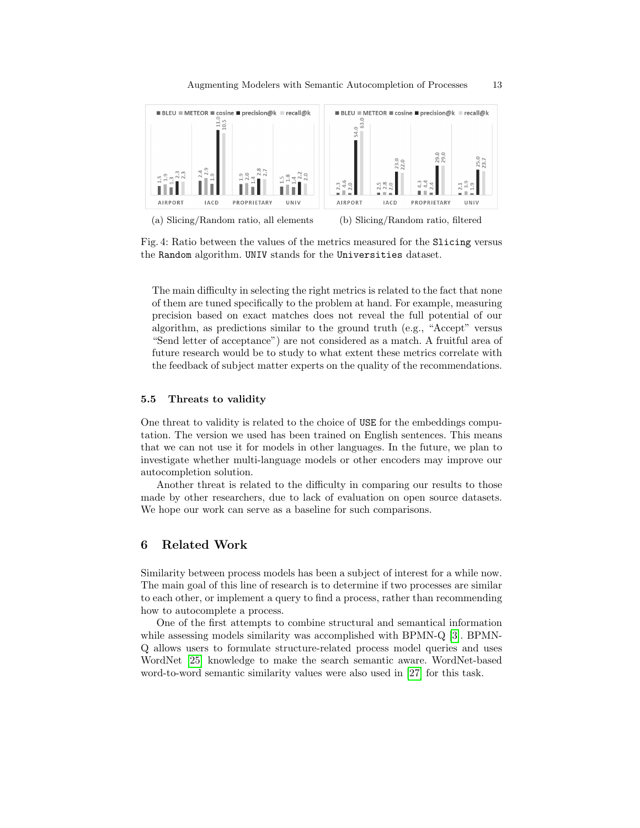<span id="page-12-0"></span>

Fig. 4: Ratio between the values of the metrics measured for the Slicing versus the Random algorithm. UNIV stands for the Universities dataset.

The main difficulty in selecting the right metrics is related to the fact that none of them are tuned specifically to the problem at hand. For example, measuring precision based on exact matches does not reveal the full potential of our algorithm, as predictions similar to the ground truth (e.g., "Accept" versus "Send letter of acceptance") are not considered as a match. A fruitful area of future research would be to study to what extent these metrics correlate with the feedback of subject matter experts on the quality of the recommendations.

#### 5.5 Threats to validity

One threat to validity is related to the choice of USE for the embeddings computation. The version we used has been trained on English sentences. This means that we can not use it for models in other languages. In the future, we plan to investigate whether multi-language models or other encoders may improve our autocompletion solution.

Another threat is related to the difficulty in comparing our results to those made by other researchers, due to lack of evaluation on open source datasets. We hope our work can serve as a baseline for such comparisons.

## 6 Related Work

Similarity between process models has been a subject of interest for a while now. The main goal of this line of research is to determine if two processes are similar to each other, or implement a query to find a process, rather than recommending how to autocomplete a process.

One of the first attempts to combine structural and semantical information while assessing models similarity was accomplished with BPMN-Q [\[3\]](#page-14-10). BPMN-Q allows users to formulate structure-related process model queries and uses WordNet [\[25\]](#page-15-12) knowledge to make the search semantic aware. WordNet-based word-to-word semantic similarity values were also used in [\[27\]](#page-15-13) for this task.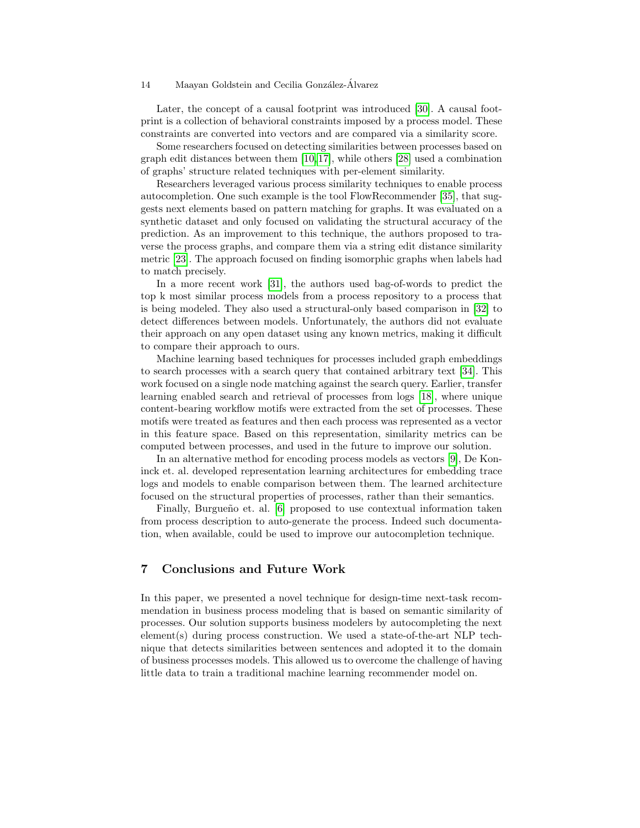Later, the concept of a causal footprint was introduced [\[30\]](#page-15-14). A causal footprint is a collection of behavioral constraints imposed by a process model. These constraints are converted into vectors and are compared via a similarity score.

Some researchers focused on detecting similarities between processes based on graph edit distances between them [\[10,](#page-14-11) [17\]](#page-15-15), while others [\[28\]](#page-15-16) used a combination of graphs' structure related techniques with per-element similarity.

Researchers leveraged various process similarity techniques to enable process autocompletion. One such example is the tool FlowRecommender [\[35\]](#page-16-0), that suggests next elements based on pattern matching for graphs. It was evaluated on a synthetic dataset and only focused on validating the structural accuracy of the prediction. As an improvement to this technique, the authors proposed to traverse the process graphs, and compare them via a string edit distance similarity metric [\[23\]](#page-15-3). The approach focused on finding isomorphic graphs when labels had to match precisely.

In a more recent work [\[31\]](#page-15-6), the authors used bag-of-words to predict the top k most similar process models from a process repository to a process that is being modeled. They also used a structural-only based comparison in [\[32\]](#page-15-17) to detect differences between models. Unfortunately, the authors did not evaluate their approach on any open dataset using any known metrics, making it difficult to compare their approach to ours.

Machine learning based techniques for processes included graph embeddings to search processes with a search query that contained arbitrary text [\[34\]](#page-15-18). This work focused on a single node matching against the search query. Earlier, transfer learning enabled search and retrieval of processes from logs [\[18\]](#page-15-19), where unique content-bearing workflow motifs were extracted from the set of processes. These motifs were treated as features and then each process was represented as a vector in this feature space. Based on this representation, similarity metrics can be computed between processes, and used in the future to improve our solution.

In an alternative method for encoding process models as vectors [\[9\]](#page-14-12), De Koninck et. al. developed representation learning architectures for embedding trace logs and models to enable comparison between them. The learned architecture focused on the structural properties of processes, rather than their semantics.

Finally, Burgueño et. al. [\[6\]](#page-14-13) proposed to use contextual information taken from process description to auto-generate the process. Indeed such documentation, when available, could be used to improve our autocompletion technique.

# 7 Conclusions and Future Work

In this paper, we presented a novel technique for design-time next-task recommendation in business process modeling that is based on semantic similarity of processes. Our solution supports business modelers by autocompleting the next element(s) during process construction. We used a state-of-the-art NLP technique that detects similarities between sentences and adopted it to the domain of business processes models. This allowed us to overcome the challenge of having little data to train a traditional machine learning recommender model on.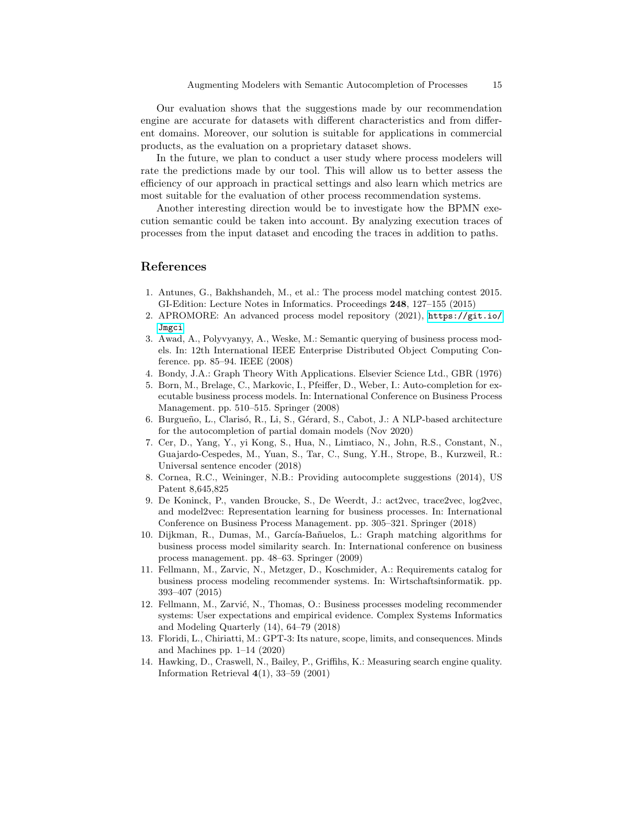Our evaluation shows that the suggestions made by our recommendation engine are accurate for datasets with different characteristics and from different domains. Moreover, our solution is suitable for applications in commercial products, as the evaluation on a proprietary dataset shows.

In the future, we plan to conduct a user study where process modelers will rate the predictions made by our tool. This will allow us to better assess the efficiency of our approach in practical settings and also learn which metrics are most suitable for the evaluation of other process recommendation systems.

Another interesting direction would be to investigate how the BPMN execution semantic could be taken into account. By analyzing execution traces of processes from the input dataset and encoding the traces in addition to paths.

## References

- <span id="page-14-3"></span>1. Antunes, G., Bakhshandeh, M., et al.: The process model matching contest 2015. GI-Edition: Lecture Notes in Informatics. Proceedings 248, 127–155 (2015)
- <span id="page-14-8"></span>2. APROMORE: An advanced process model repository (2021), [https://git.io/](https://git.io/Jmgci) [Jmgci](https://git.io/Jmgci)
- <span id="page-14-10"></span>3. Awad, A., Polyvyanyy, A., Weske, M.: Semantic querying of business process models. In: 12th International IEEE Enterprise Distributed Object Computing Conference. pp. 85–94. IEEE (2008)
- <span id="page-14-7"></span>4. Bondy, J.A.: Graph Theory With Applications. Elsevier Science Ltd., GBR (1976)
- <span id="page-14-5"></span>5. Born, M., Brelage, C., Markovic, I., Pfeiffer, D., Weber, I.: Auto-completion for executable business process models. In: International Conference on Business Process Management. pp. 510–515. Springer (2008)
- <span id="page-14-13"></span>6. Burgueño, L., Clarisó, R., Li, S., Gérard, S., Cabot, J.: A NLP-based architecture for the autocompletion of partial domain models (Nov 2020)
- <span id="page-14-6"></span>7. Cer, D., Yang, Y., yi Kong, S., Hua, N., Limtiaco, N., John, R.S., Constant, N., Guajardo-Cespedes, M., Yuan, S., Tar, C., Sung, Y.H., Strope, B., Kurzweil, R.: Universal sentence encoder (2018)
- <span id="page-14-2"></span>8. Cornea, R.C., Weininger, N.B.: Providing autocomplete suggestions (2014), US Patent 8,645,825
- <span id="page-14-12"></span>9. De Koninck, P., vanden Broucke, S., De Weerdt, J.: act2vec, trace2vec, log2vec, and model2vec: Representation learning for business processes. In: International Conference on Business Process Management. pp. 305–321. Springer (2018)
- <span id="page-14-11"></span>10. Dijkman, R., Dumas, M., García-Bañuelos, L.: Graph matching algorithms for business process model similarity search. In: International conference on business process management. pp. 48–63. Springer (2009)
- <span id="page-14-0"></span>11. Fellmann, M., Zarvic, N., Metzger, D., Koschmider, A.: Requirements catalog for business process modeling recommender systems. In: Wirtschaftsinformatik. pp. 393–407 (2015)
- <span id="page-14-1"></span>12. Fellmann, M., Zarvić, N., Thomas, O.: Business processes modeling recommender systems: User expectations and empirical evidence. Complex Systems Informatics and Modeling Quarterly (14), 64–79 (2018)
- <span id="page-14-4"></span>13. Floridi, L., Chiriatti, M.: GPT-3: Its nature, scope, limits, and consequences. Minds and Machines pp. 1–14 (2020)
- <span id="page-14-9"></span>14. Hawking, D., Craswell, N., Bailey, P., Griffihs, K.: Measuring search engine quality. Information Retrieval  $4(1)$ , 33–59 (2001)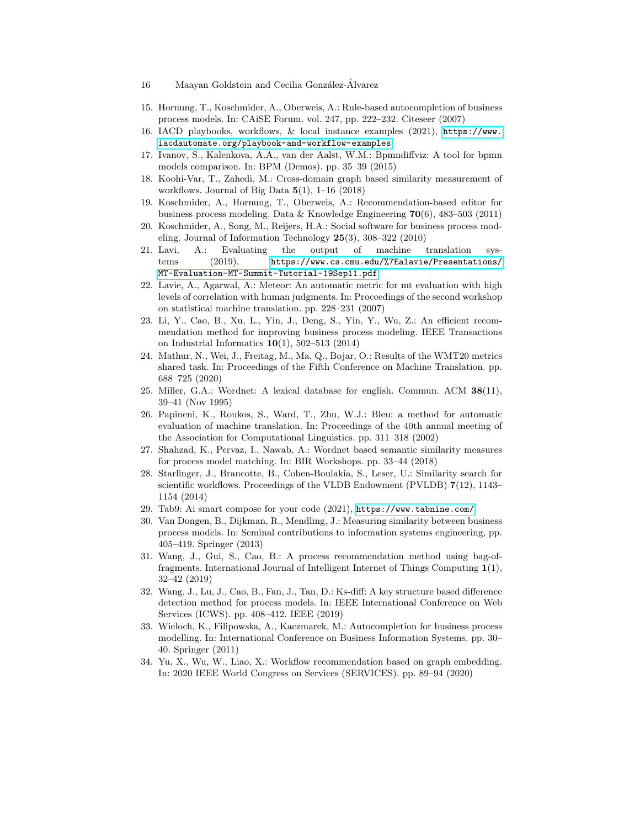- 16 Maayan Goldstein and Cecilia González-Álvarez
- <span id="page-15-2"></span>15. Hornung, T., Koschmider, A., Oberweis, A.: Rule-based autocompletion of business process models. In: CAiSE Forum. vol. 247, pp. 222–232. Citeseer (2007)
- <span id="page-15-8"></span>16. IACD playbooks, workflows, & local instance examples (2021), [https://www.](https://www.iacdautomate.org/playbook-and-workflow-examples) [iacdautomate.org/playbook-and-workflow-examples](https://www.iacdautomate.org/playbook-and-workflow-examples)
- <span id="page-15-15"></span>17. Ivanov, S., Kalenkova, A.A., van der Aalst, W.M.: Bpmndiffviz: A tool for bpmn models comparison. In: BPM (Demos). pp. 35–39 (2015)
- <span id="page-15-19"></span>18. Koohi-Var, T., Zahedi, M.: Cross-domain graph based similarity measurement of workflows. Journal of Big Data  $5(1)$ , 1–16 (2018)
- <span id="page-15-4"></span>19. Koschmider, A., Hornung, T., Oberweis, A.: Recommendation-based editor for business process modeling. Data & Knowledge Engineering  $70(6)$ , 483–503 (2011)
- <span id="page-15-5"></span>20. Koschmider, A., Song, M., Reijers, H.A.: Social software for business process modeling. Journal of Information Technology 25(3), 308–322 (2010)
- <span id="page-15-11"></span>21. Lavi, A.: Evaluating the output of machine translation systems (2019), [https://www.cs.cmu.edu/%7Ealavie/Presentations/](https://www.cs.cmu.edu/%7Ealavie/Presentations/MT-Evaluation-MT-Summit-Tutorial-19Sep11.pdf) [MT-Evaluation-MT-Summit-Tutorial-19Sep11.pdf](https://www.cs.cmu.edu/%7Ealavie/Presentations/MT-Evaluation-MT-Summit-Tutorial-19Sep11.pdf)
- <span id="page-15-1"></span>22. Lavie, A., Agarwal, A.: Meteor: An automatic metric for mt evaluation with high levels of correlation with human judgments. In: Proceedings of the second workshop on statistical machine translation. pp. 228–231 (2007)
- <span id="page-15-3"></span>23. Li, Y., Cao, B., Xu, L., Yin, J., Deng, S., Yin, Y., Wu, Z.: An efficient recommendation method for improving business process modeling. IEEE Transactions on Industrial Informatics 10(1), 502–513 (2014)
- <span id="page-15-10"></span>24. Mathur, N., Wei, J., Freitag, M., Ma, Q., Bojar, O.: Results of the WMT20 metrics shared task. In: Proceedings of the Fifth Conference on Machine Translation. pp. 688–725 (2020)
- <span id="page-15-12"></span>25. Miller, G.A.: Wordnet: A lexical database for english. Commun. ACM 38(11), 39–41 (Nov 1995)
- <span id="page-15-9"></span>26. Papineni, K., Roukos, S., Ward, T., Zhu, W.J.: Bleu: a method for automatic evaluation of machine translation. In: Proceedings of the 40th annual meeting of the Association for Computational Linguistics. pp. 311–318 (2002)
- <span id="page-15-13"></span>27. Shahzad, K., Pervaz, I., Nawab, A.: Wordnet based semantic similarity measures for process model matching. In: BIR Workshops. pp. 33–44 (2018)
- <span id="page-15-16"></span>28. Starlinger, J., Brancotte, B., Cohen-Boulakia, S., Leser, U.: Similarity search for scientific workflows. Proceedings of the VLDB Endowment (PVLDB) 7(12), 1143– 1154 (2014)
- <span id="page-15-0"></span>29. Tab9: Ai smart compose for your code (2021), <https://www.tabnine.com/>
- <span id="page-15-14"></span>30. Van Dongen, B., Dijkman, R., Mendling, J.: Measuring similarity between business process models. In: Seminal contributions to information systems engineering, pp. 405–419. Springer (2013)
- <span id="page-15-6"></span>31. Wang, J., Gui, S., Cao, B.: A process recommendation method using bag-offragments. International Journal of Intelligent Internet of Things Computing 1(1), 32–42 (2019)
- <span id="page-15-17"></span>32. Wang, J., Lu, J., Cao, B., Fan, J., Tan, D.: Ks-diff: A key structure based difference detection method for process models. In: IEEE International Conference on Web Services (ICWS). pp. 408–412. IEEE (2019)
- <span id="page-15-7"></span>33. Wieloch, K., Filipowska, A., Kaczmarek, M.: Autocompletion for business process modelling. In: International Conference on Business Information Systems. pp. 30– 40. Springer (2011)
- <span id="page-15-18"></span>34. Yu, X., Wu, W., Liao, X.: Workflow recommendation based on graph embedding. In: 2020 IEEE World Congress on Services (SERVICES). pp. 89–94 (2020)